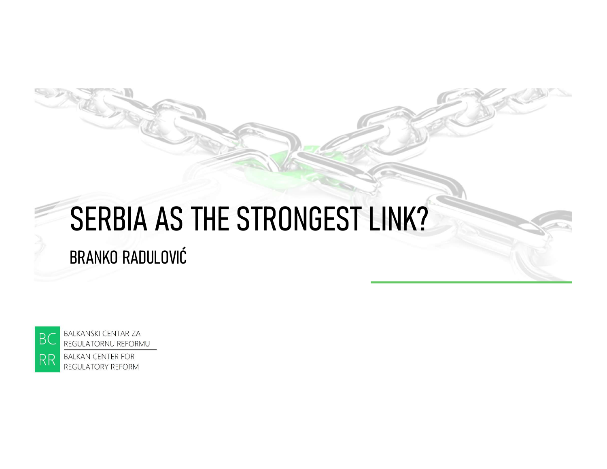# SERBIA AS THE STRONGEST LINK? BRANKO RADULOVIĆ



REGULATORNU REFORMU **BALKAN CENTER FOR** 

REGULATORY REFORM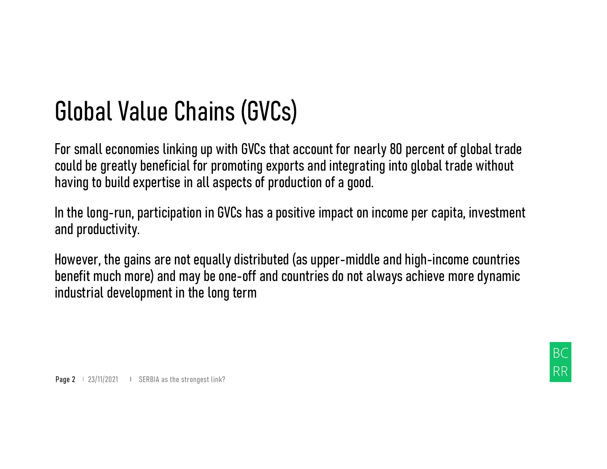Global Value Chains (GVCs)<br>For small economies linking up with GVCs that account for nearly 80 percent of global<br>could be greatly beneficial for promoting exports and integrating into global trade wit Global Value Chains (GVCs)<br>For small economies linking up with GVCs that account for nearly 80 percent of global trade<br>could be greatly beneficial for promoting exports and integrating into global trade without<br>having to b **Global Value Chains (GVCs)**<br>For small economies linking up with GVCs that account for nearly 80 percent of global trade<br>could be greatly beneficial for promoting exports and integrating into global trade without<br>having to having to build expertise in all aspects of production of a good. Global Value Chains (GVCs)<br>For small economies linking up with GVCs that account for nearly 80 percent of global trade<br>could be greatly beneficial for promoting exports and integrating into global trade without<br>having to b

In the long-run, participation in GVCs has a positive impact on income per capita, investment and productivity.

benefit much more) and may be one-off and countries do not always achieve more dynamic industrial development in the long term Page 2 + 23/11/2021 + SERBIA as the strongest link?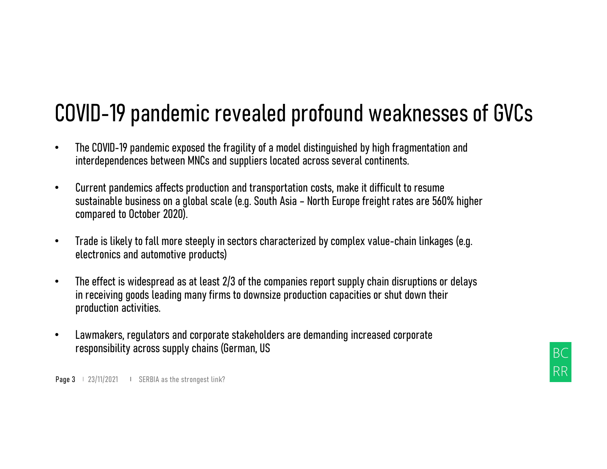# COVID-19 pandemic revealed profound weaknesses of GVCs<br>• The COVID-19 pandemic exposed the fragility of a model distinguished by high fragmentation and<br>interdependences between MNCs and suppliers located across several con

- interdependences between MNCs and suppliers located across several continents.
- Current pandemics affects production and transportation costs, make it difficult to resume VID-19 pandemic exposed the fragility of a model distinguished by high fragmentation and<br>The COVID-19 pandemic exposed the fragility of a model distinguished by high fragmentation and<br>interdependences between MNCs and supp compared to October 2020). **COVID–19 pandemic revealed profound weaknesses of GVCs**<br>• The COVID-19 pandemic exposed the fragility of a model distinguished by high fragmentation and<br>interdependences between MNCs and suppliers located across several
- electronics and automotive products)
- The effect is widespread as at least 2/3 of the companies report supply chain disruptions or delays in receiving goods leading many firms to downsize production capacities or shut down their production activities. interdependences between MNCs and suppliers located across several continents.<br>Current pandemics affects production and transportation costs, make it difficult to resume<br>sustainable business on a global scale (e.g. South A • Current pandemics affects production and transportation costs, make it diffice<br>sustainable business on a global scale (e.g. South Asia – North Europe freight<br>compared to October 2020).<br>• Trade is likely to fall more ste
- Lawmakers, regulators and corporate stakeholders are demanding increased corporate

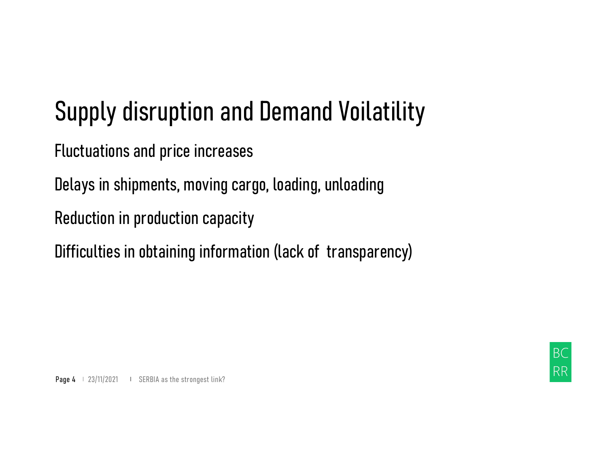# Supply disruption and Demand Voilatility

Fluctuations and price increases

Delays in shipments, moving cargo, loading, unloading

Reduction in production capacity

Difficulties in obtaining information (lack of transparency) Detays in sinpments, moving cargo, toading, untoading<br>Reduction in production capacity<br>Difficulties in obtaining information (lack of transparer<br>Page 4 + 23/11/2021 + SERBIA as the strongest link?

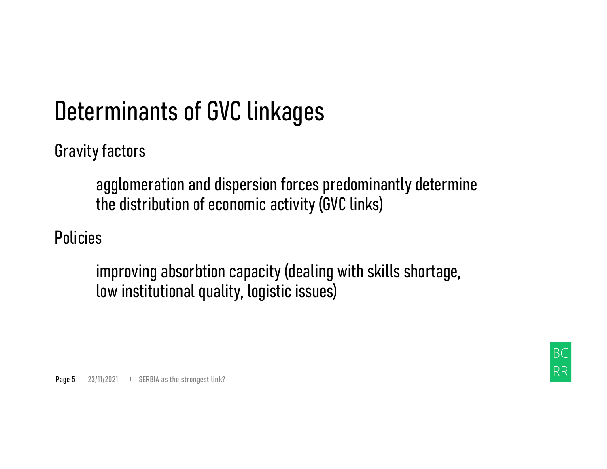## Determinants of GVC linkages

Gravity factors

rminants of GVC linkages<br>
r factors<br>agglomeration and dispersion forces predominantly determine<br>the distribution of economic activity (GVC links)<br>s the distribution of economic activity (GVC links)

Policies

improving absorbtion capacity (dealing with skills shortage, low institutional quality, logistic issues) agglomeration and uispersion forces predominal<br>the distribution of economic activity (GVC links)<br>Policies<br>improving absorbtion capacity (dealing with skil<br>low institutional quality, logistic issues)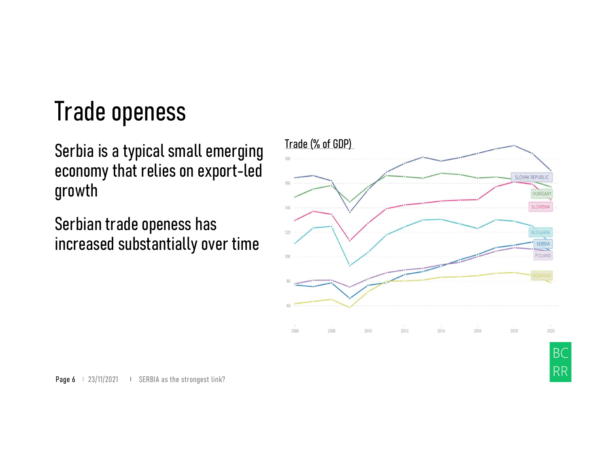#### Trade openess

Serbia is a typical small emerging<br>economy that relies on export-led Trade openess<br>
Serbia is a typical small emerging<br>
economy that relies on export-led<br>
growth<br>
Serbian trade openess has growth

Serbian trade openess has increased substantially over time



**Page 6**  $\mid$  23/11/2021  $\mid$  SERBIA as the strongest link?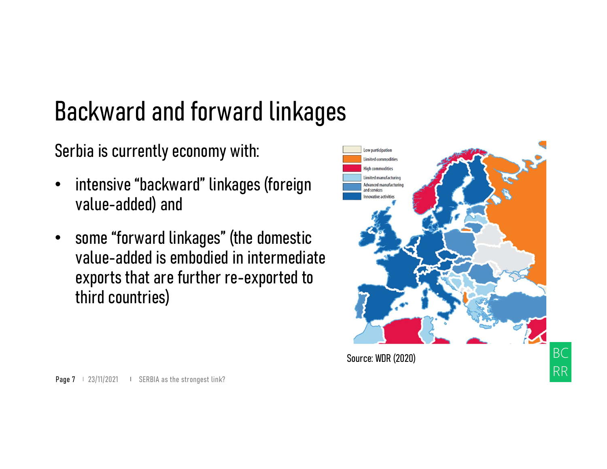## Backward and forward linkages

Serbia is currently economy with:

- intensive "backward" linkages (foreign value-added) and
- some "forward linkages" (the domestic value-added is embodied in intermediate exports that are further re-exported to third countries) Prage 7 1 23/11/2021 ISERBIA as the strongest link?

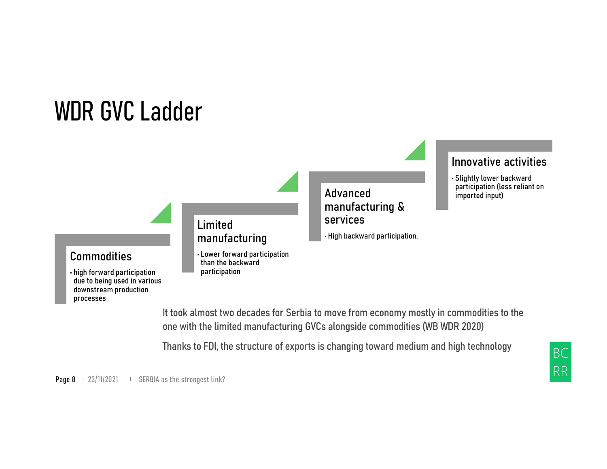#### WDR GVC Ladder



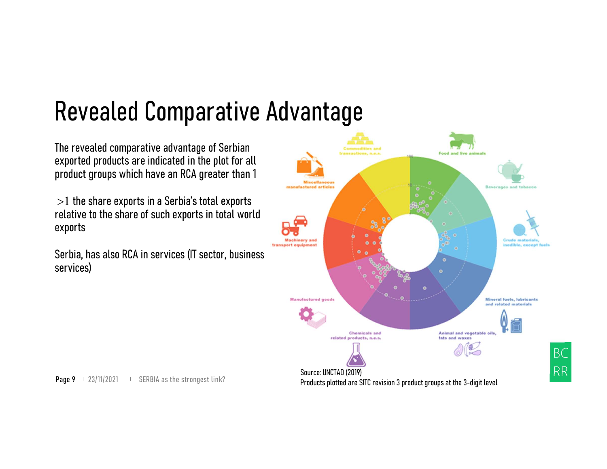#### Revealed Comparative Advantage

The revealed comparative advantage of Serbian exported products are indicated in the plot for all product groups which have an RCA greater than 1

 $>1$  the share exports in a Serbia's total exports relative to the share of such exports in total world exports

Serbia, has also RCA in services (IT sector, business services)

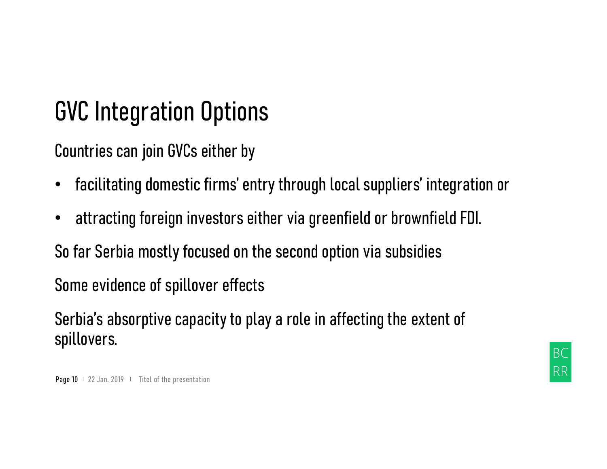#### GVC Integration Options

Countries can join GVCs either by

- GVC Integration Options<br>Countries can join GVCs either by<br>• facilitating domestic firms' entry through local suppliers' integration or<br>• attracting foreign investors either via greenfield or brownfield FDI.
- attracting foreign investors either via greenfield or brownfield FDI.

So far Serbia mostly focused on the second option via subsidies

Some evidence of spillover effects

Serbia's absorptive capacity to play a role in affecting the extent of spillovers. • attracting foreign investors either via greenfield or<br>• attracting foreign investors either via greenfield or<br>So far Serbia mostly focused on the second option via s<br>Some evidence of spillover effects<br>Serbia's absorptive

**BC RR**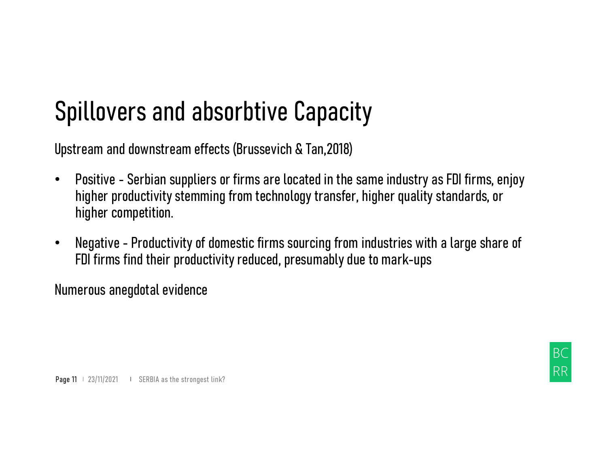#### Spillovers and absorbtive Capacity

- Spillovers and absorbtive Capacity<br>Upstream and downstream effects (Brussevich & Tan,2018)<br>• Positive Serbian suppliers or firms are located in the same industry as FDI firms, enjoy<br>higher productivity stemming from tech **Spillovers and absorbtive Capacity**<br>Upstream and downstream effects (Brussevich & Tan,2018)<br>• Positive - Serbian suppliers or firms are located in the same industry as FDI firms, enjoy<br>higher productivity stemming from te higher productivity stemming from technology transfer, higher quality standards, or higher competition. **Spillovers and absorbtive Capacity**<br>Upstream and downstream effects (Brussevich & Tan,2018)<br>• Positive - Serbian suppliers or firms are located in the same industry as FDI firms, enjoy<br>higher productivity stemming from te Figher productivity stemming from technology transfer, higher competition.<br>
• Negative – Productivity of domestic firms sourcing from indus<br>
FDI firms find their productivity reduced, presumably due to m<br>
Numerous anegdot
- FDI firms find their productivity reduced, presumably due to mark-ups

Numerous anegdotal evidence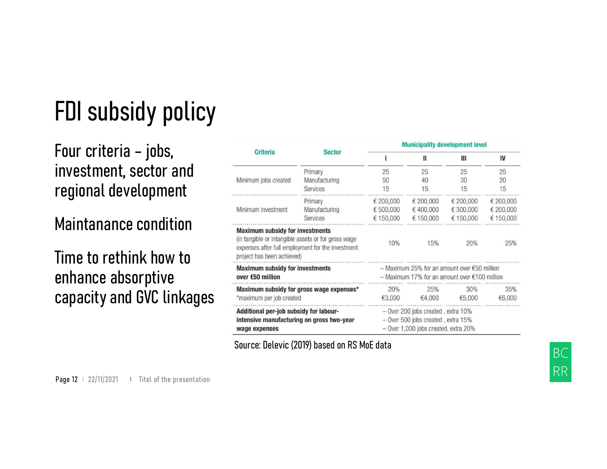## FDI subsidy policy

#### investment, sector and regional development

#### Maintanance condition

#### Time to rethink how to enhance absorptive capacity and GVC linkages

| FDI subsidy policy                                     |                                                                                                                                                                                  |                                      |                                                                                                                      |                                    |                                     |                                     |
|--------------------------------------------------------|----------------------------------------------------------------------------------------------------------------------------------------------------------------------------------|--------------------------------------|----------------------------------------------------------------------------------------------------------------------|------------------------------------|-------------------------------------|-------------------------------------|
| Four criteria – jobs,                                  | <b>Criteria</b>                                                                                                                                                                  | <b>Sector</b>                        | <b>Municipality development level</b>                                                                                |                                    |                                     |                                     |
| investment, sector and<br>regional development         | Minimum jobs created                                                                                                                                                             | Primary<br>Manufacturing<br>Services | 25<br>50<br>15                                                                                                       | Ш<br>25<br>40<br>15                | Ш<br>25<br>30<br>15                 | IV<br>25<br>20<br>15                |
|                                                        | Minimum investment                                                                                                                                                               | Primary<br>Manufacturing<br>Services | € 200,000<br>€ 500,000<br>€ 150,000                                                                                  | € 200,000<br>€400,000<br>€ 150,000 | € 200,000<br>€ 300,000<br>€ 150,000 | € 200,000<br>€ 200,000<br>€ 150,000 |
| <b>Maintanance condition</b><br>Time to rethink how to | <b>Maximum subsidy for investments</b><br>(in tangible or intangible assets or for gross wage<br>expenses after full employment for the investment<br>project has been achieved) |                                      | 10%                                                                                                                  | 15%                                | 20%                                 | 25%                                 |
| enhance absorptive                                     | <b>Maximum subsidy for investments</b><br>over $€50$ million                                                                                                                     |                                      | $-$ Maximum 25% for an amount over $\epsilon$ 50 million<br>$-$ Maximum 17% for an amount over $€100$ million        |                                    |                                     |                                     |
| capacity and GVC linkages                              | Maximum subsidy for gross wage expenses*<br>*maximum per job created                                                                                                             |                                      | 20%<br>€3,000                                                                                                        | 25%<br>€4,000                      | 30%<br>€5,000                       | 35%<br>€6,000                       |
|                                                        | Additional per-job subsidy for labour-<br>intensive manufacturing on gross two-year<br>wage expenses                                                                             |                                      | $-$ Over 200 jobs created, extra 10%<br>- Over 500 jobs created, extra 15%<br>$-$ Over 1,000 jobs created, extra 20% |                                    |                                     |                                     |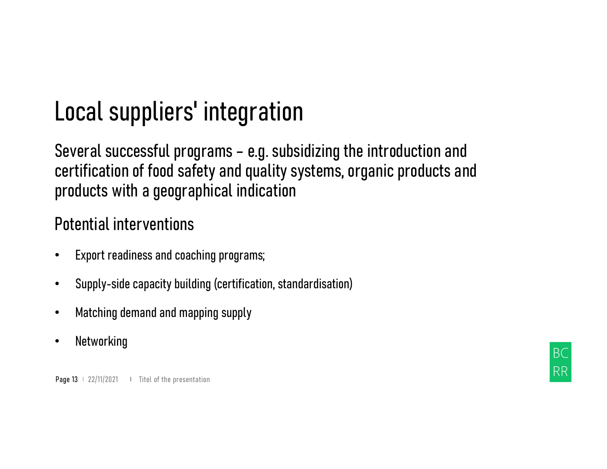#### Local suppliers' integration

Local suppliers' integration<br>Several successful programs – e.g. subsidizing the introduction and<br>certification of food safety and quality systems, organic products and<br>products with a geographical indication certification of food safety and quality systems, organic products and products with a geographical indication **Local suppliers' integration**<br>Several successful programs – e.g. subsidizing the<br>certification of food safety and quality systems, or<br>products with a geographical indication<br>Potential interventions<br>• Export readiness and **Local suppliers' integration**<br>
Several successful programs – e.g. subsidizing the introduction and<br>
certification of food safety and quality systems, organic products an<br>
products with a geographical indication<br>
Potential products with a geographical indication<br>Potential interventions<br>• Export readiness and coaching programs;<br>• Supply-side capacity building (certification, standardisation)<br>• Matching demand and mapping supply<br>• Networking<br>P

#### Potential interventions

- 
- 
- Matching demand and mapping supply
- Networking

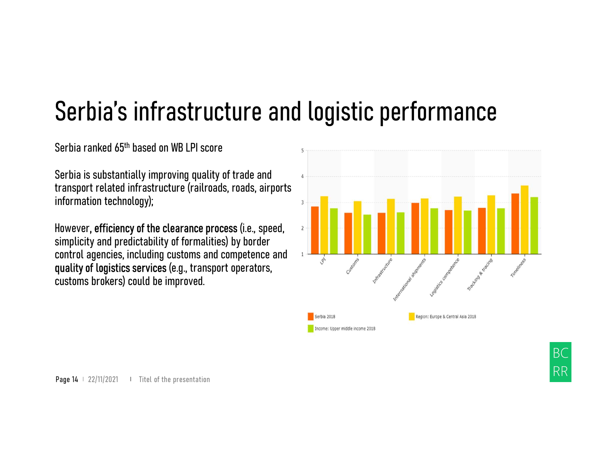#### Serbia's infrastructure and logistic performance

Serbia ranked 65th based on WB LPI score

transport related infrastructure (railroads, roads, airports information technology);

**Serbia S** infrastructure and logistic p<br>
Serbia ranked 65<sup>th</sup> based on WB LPI score<br>
Serbia is substantially improving quality of trade and<br>
transport related infrastructure (railroads, roads, airports<br>
information tech simplicity and predictability of formalities) by border control agencies, including customs and competence and  $\frac{1}{4}$ quality of logistics services (e.g., transport operators, customs brokers) could be improved. Example the determinion technology);<br>
information technology);<br>
However, efficiency of the clearance process (i.e., speed,<br>
simplicity and predictability of formalities) by border<br>
control agencies, including customs and c

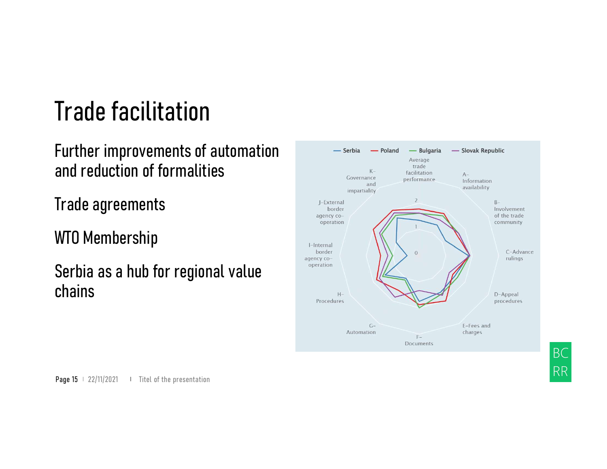#### Trade facilitation

Further improvements of automation and reduction of formalities

Trade agreements

WTO Membership

Serbia as a hub for regional value chains



**BC** 

**RR**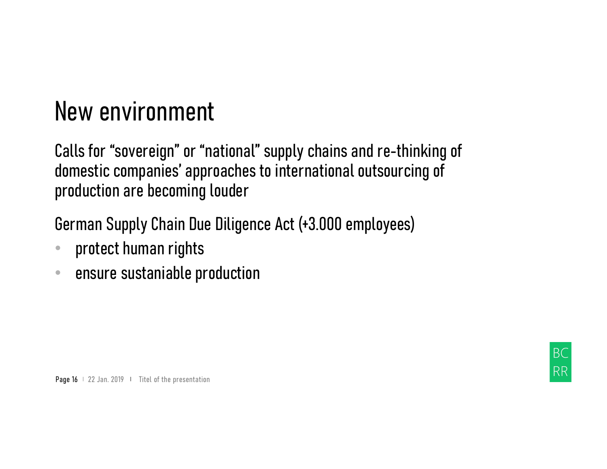#### New environment

New environment<br>Calls for "sovereign" or "national" supply chains and re-thinking of<br>domestic companies' approaches to international outsourcing of<br>production are becoming louder domestic companies' approaches to international outsourcing of production are becoming louder New environment<br>Calls for "sovereign" or "national" supply chains and re-thinking of<br>domestic companies' approaches to international outsourcing of<br>production are becoming louder<br>German Supply Chain Due Diligence Act (+3.0

production are becoming louder<br>German Supply Chain Due Diligence Act (+3.000 employ<br>• protect human rights<br>• ensure sustaniable production<br>Page 16 + 22 Jan. 2019 + Titel of the presentation

- protect human rights
- ensure sustaniable production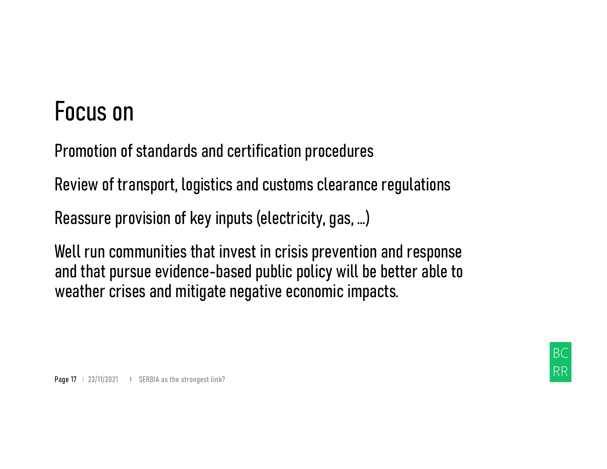#### Focus on

Focus on<br>Promotion of standards and certification procedures<br>Review of transport, logistics and customs clearance regulations Focus on<br>Promotion of standards and certification procedures<br>Review of transport, logistics and customs clearance regulations<br>Reassure provision of key inputs (electricity, gas, ...)

Reassure provision of key inputs (electricity, gas, …)

Well run communities that invest in crisis prevention and response and that pursue evidence-based public policy will be better able to weather crises and mitigate negative economic impacts. Reassure provision of key inputs (electricity, gas, ...)<br>Reassure provision of key inputs (electricity, gas, ...)<br>Well run communities that invest in crisis prevention and<br>and that pursue evidence-based public policy will